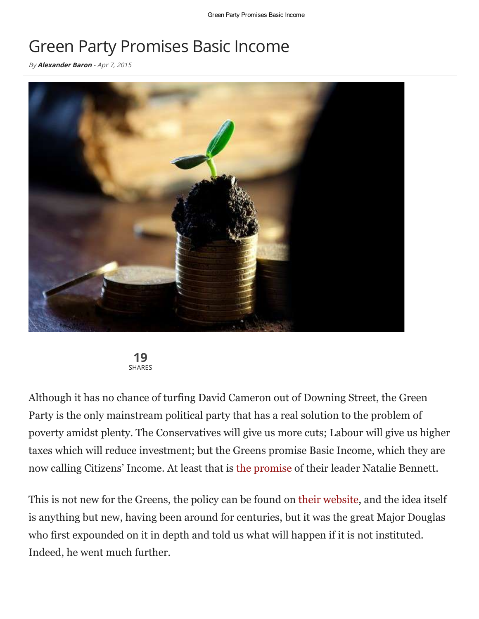## Green Party Promises Basic Income

By **[Alexander](http://www.thelatestnews.com/author/alexander/) Baron** - Apr 7, 2015





Although it has no chance of turfing David Cameron out of Downing Street, the Green Party is the only mainstream political party that has a real solution to the problem of poverty amidst plenty. The Conservatives will give us more cuts; Labour will give us higher taxes which will reduce investment; but the Greens promise Basic Income, which they are now calling Citizens' Income. At least that is the [promise](https://web.archive.org/web/20150407113600/http://www.bbc.co.uk/news/election-2015-32203799) of their leader Natalie Bennett.

This is not new for the Greens, the policy can be found on their [website,](http://policy.greenparty.org.uk/ec.html#EC730) and the idea itself is anything but new, having been around for centuries, but it was the great Major Douglas who first expounded on it in depth and told us what will happen if it is not instituted. Indeed, he went much further.